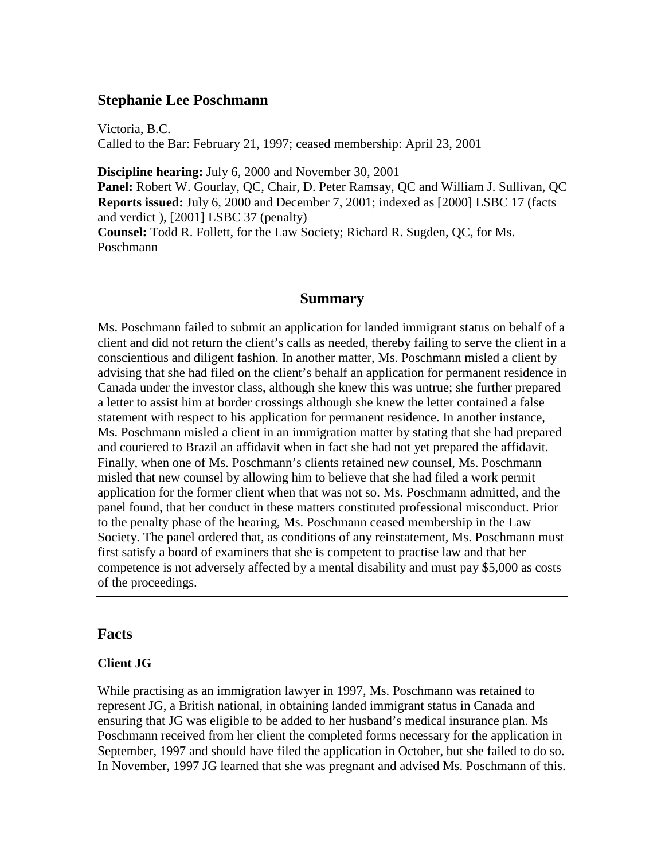## **Stephanie Lee Poschmann**

Victoria, B.C. Called to the Bar: February 21, 1997; ceased membership: April 23, 2001

**Discipline hearing:** July 6, 2000 and November 30, 2001 **Panel:** Robert W. Gourlay, QC, Chair, D. Peter Ramsay, QC and William J. Sullivan, QC **Reports issued:** July 6, 2000 and December 7, 2001; indexed as [2000] LSBC 17 (facts and verdict ), [2001] LSBC 37 (penalty) **Counsel:** Todd R. Follett, for the Law Society; Richard R. Sugden, QC, for Ms. Poschmann

### **Summary**

Ms. Poschmann failed to submit an application for landed immigrant status on behalf of a client and did not return the client's calls as needed, thereby failing to serve the client in a conscientious and diligent fashion. In another matter, Ms. Poschmann misled a client by advising that she had filed on the client's behalf an application for permanent residence in Canada under the investor class, although she knew this was untrue; she further prepared a letter to assist him at border crossings although she knew the letter contained a false statement with respect to his application for permanent residence. In another instance, Ms. Poschmann misled a client in an immigration matter by stating that she had prepared and couriered to Brazil an affidavit when in fact she had not yet prepared the affidavit. Finally, when one of Ms. Poschmann's clients retained new counsel, Ms. Poschmann misled that new counsel by allowing him to believe that she had filed a work permit application for the former client when that was not so. Ms. Poschmann admitted, and the panel found, that her conduct in these matters constituted professional misconduct. Prior to the penalty phase of the hearing, Ms. Poschmann ceased membership in the Law Society. The panel ordered that, as conditions of any reinstatement, Ms. Poschmann must first satisfy a board of examiners that she is competent to practise law and that her competence is not adversely affected by a mental disability and must pay \$5,000 as costs of the proceedings.

#### **Facts**

#### **Client JG**

While practising as an immigration lawyer in 1997, Ms. Poschmann was retained to represent JG, a British national, in obtaining landed immigrant status in Canada and ensuring that JG was eligible to be added to her husband's medical insurance plan. Ms Poschmann received from her client the completed forms necessary for the application in September, 1997 and should have filed the application in October, but she failed to do so. In November, 1997 JG learned that she was pregnant and advised Ms. Poschmann of this.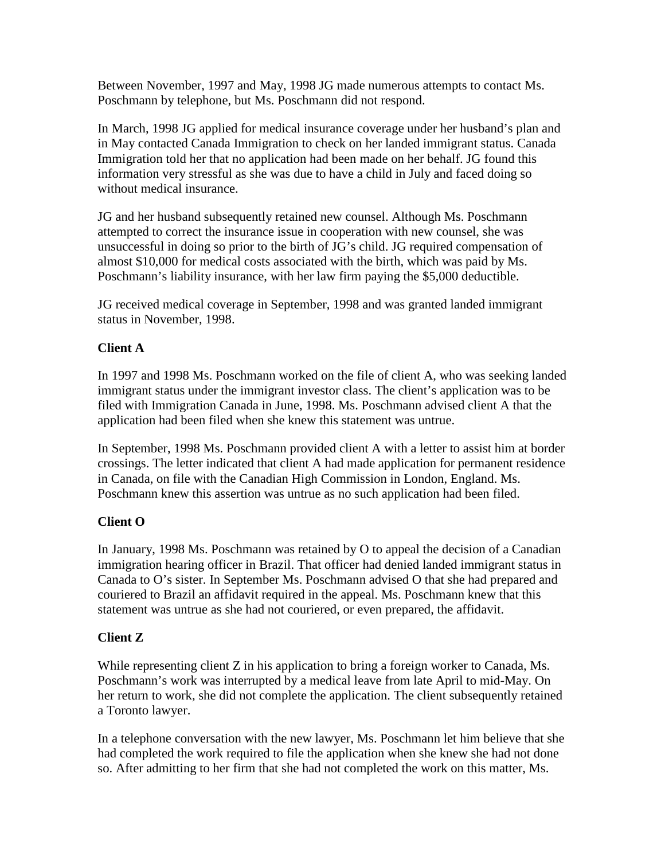Between November, 1997 and May, 1998 JG made numerous attempts to contact Ms. Poschmann by telephone, but Ms. Poschmann did not respond.

In March, 1998 JG applied for medical insurance coverage under her husband's plan and in May contacted Canada Immigration to check on her landed immigrant status. Canada Immigration told her that no application had been made on her behalf. JG found this information very stressful as she was due to have a child in July and faced doing so without medical insurance.

JG and her husband subsequently retained new counsel. Although Ms. Poschmann attempted to correct the insurance issue in cooperation with new counsel, she was unsuccessful in doing so prior to the birth of JG's child. JG required compensation of almost \$10,000 for medical costs associated with the birth, which was paid by Ms. Poschmann's liability insurance, with her law firm paying the \$5,000 deductible.

JG received medical coverage in September, 1998 and was granted landed immigrant status in November, 1998.

## **Client A**

In 1997 and 1998 Ms. Poschmann worked on the file of client A, who was seeking landed immigrant status under the immigrant investor class. The client's application was to be filed with Immigration Canada in June, 1998. Ms. Poschmann advised client A that the application had been filed when she knew this statement was untrue.

In September, 1998 Ms. Poschmann provided client A with a letter to assist him at border crossings. The letter indicated that client A had made application for permanent residence in Canada, on file with the Canadian High Commission in London, England. Ms. Poschmann knew this assertion was untrue as no such application had been filed.

# **Client O**

In January, 1998 Ms. Poschmann was retained by O to appeal the decision of a Canadian immigration hearing officer in Brazil. That officer had denied landed immigrant status in Canada to O's sister. In September Ms. Poschmann advised O that she had prepared and couriered to Brazil an affidavit required in the appeal. Ms. Poschmann knew that this statement was untrue as she had not couriered, or even prepared, the affidavit.

# **Client Z**

While representing client Z in his application to bring a foreign worker to Canada, Ms. Poschmann's work was interrupted by a medical leave from late April to mid-May. On her return to work, she did not complete the application. The client subsequently retained a Toronto lawyer.

In a telephone conversation with the new lawyer, Ms. Poschmann let him believe that she had completed the work required to file the application when she knew she had not done so. After admitting to her firm that she had not completed the work on this matter, Ms.